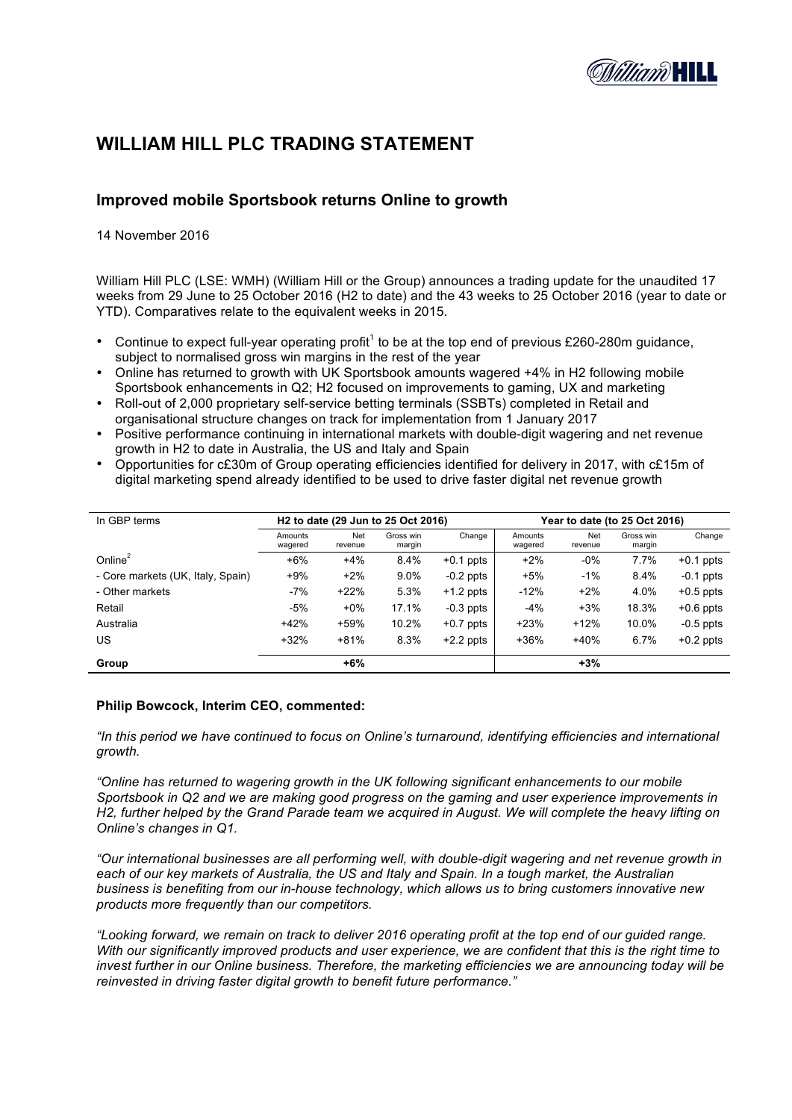

# **WILLIAM HILL PLC TRADING STATEMENT**

# **Improved mobile Sportsbook returns Online to growth**

14 November 2016

William Hill PLC (LSE: WMH) (William Hill or the Group) announces a trading update for the unaudited 17 weeks from 29 June to 25 October 2016 (H2 to date) and the 43 weeks to 25 October 2016 (year to date or YTD). Comparatives relate to the equivalent weeks in 2015.

- Continue to expect full-year operating profit<sup>1</sup> to be at the top end of previous £260-280m guidance, subject to normalised gross win margins in the rest of the year
- Online has returned to growth with UK Sportsbook amounts wagered +4% in H2 following mobile Sportsbook enhancements in Q2; H2 focused on improvements to gaming, UX and marketing
- Roll-out of 2,000 proprietary self-service betting terminals (SSBTs) completed in Retail and organisational structure changes on track for implementation from 1 January 2017
- Positive performance continuing in international markets with double-digit wagering and net revenue growth in H2 to date in Australia, the US and Italy and Spain
- Opportunities for c£30m of Group operating efficiencies identified for delivery in 2017, with c£15m of digital marketing spend already identified to be used to drive faster digital net revenue growth

| In GBP terms                      | H <sub>2</sub> to date (29 Jun to 25 Oct 2016) |                |                     |             | Year to date (to 25 Oct 2016) |                |                     |             |
|-----------------------------------|------------------------------------------------|----------------|---------------------|-------------|-------------------------------|----------------|---------------------|-------------|
|                                   | Amounts<br>wagered                             | Net<br>revenue | Gross win<br>margin | Change      | Amounts<br>wagered            | Net<br>revenue | Gross win<br>margin | Change      |
| Online $2$                        | $+6%$                                          | $+4%$          | 8.4%                | $+0.1$ ppts | $+2%$                         | $-0\%$         | 7.7%                | $+0.1$ ppts |
| - Core markets (UK, Italy, Spain) | $+9%$                                          | $+2%$          | $9.0\%$             | $-0.2$ ppts | $+5%$                         | $-1%$          | 8.4%                | $-0.1$ ppts |
| - Other markets                   | $-7%$                                          | $+22%$         | 5.3%                | $+1.2$ ppts | $-12%$                        | $+2%$          | 4.0%                | $+0.5$ ppts |
| Retail                            | $-5%$                                          | $+0\%$         | 17.1%               | $-0.3$ ppts | $-4%$                         | $+3%$          | 18.3%               | $+0.6$ ppts |
| Australia                         | $+42%$                                         | $+59%$         | 10.2%               | $+0.7$ ppts | $+23%$                        | $+12%$         | 10.0%               | $-0.5$ ppts |
| US                                | $+32%$                                         | $+81%$         | 8.3%                | $+2.2$ ppts | $+36%$                        | $+40%$         | 6.7%                | $+0.2$ ppts |
| Group                             |                                                | $+6%$          |                     |             |                               | $+3%$          |                     |             |

## **Philip Bowcock, Interim CEO, commented:**

*"In this period we have continued to focus on Online's turnaround, identifying efficiencies and international growth.* 

*"Online has returned to wagering growth in the UK following significant enhancements to our mobile Sportsbook in Q2 and we are making good progress on the gaming and user experience improvements in H2, further helped by the Grand Parade team we acquired in August. We will complete the heavy lifting on Online's changes in Q1.* 

*"Our international businesses are all performing well, with double-digit wagering and net revenue growth in each of our key markets of Australia, the US and Italy and Spain. In a tough market, the Australian business is benefiting from our in-house technology, which allows us to bring customers innovative new products more frequently than our competitors.* 

*"Looking forward, we remain on track to deliver 2016 operating profit at the top end of our guided range. With our significantly improved products and user experience, we are confident that this is the right time to invest further in our Online business. Therefore, the marketing efficiencies we are announcing today will be reinvested in driving faster digital growth to benefit future performance."*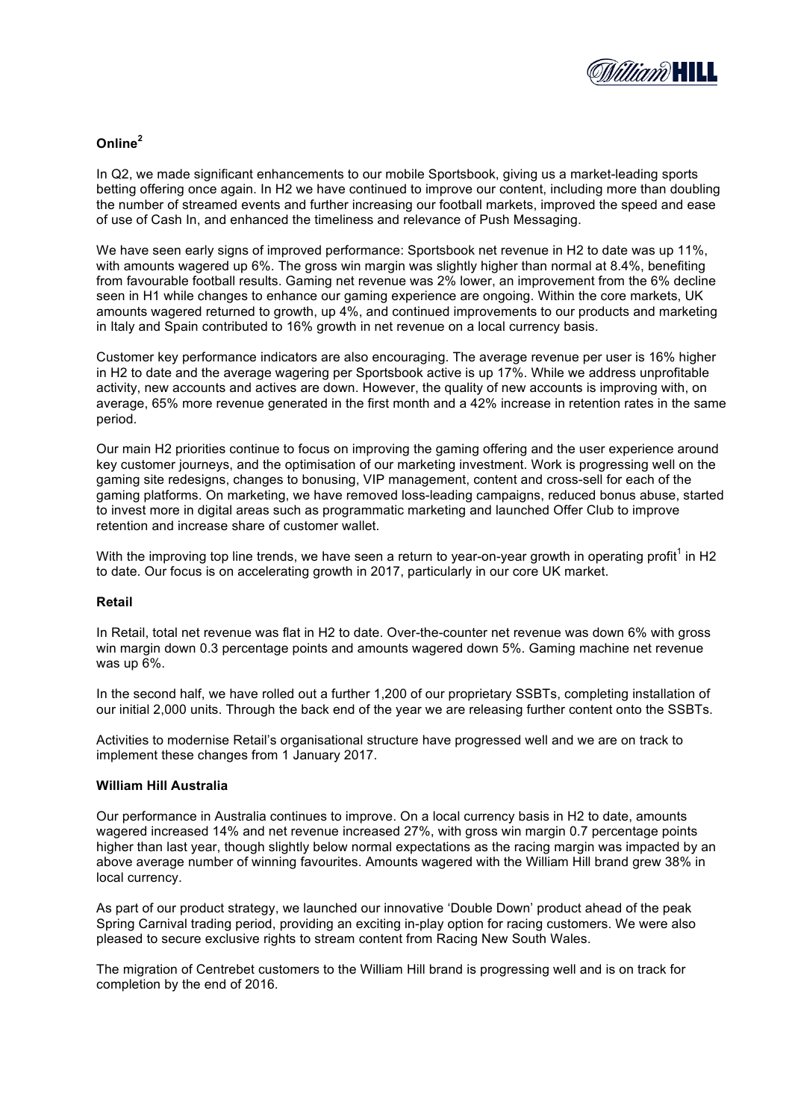

# **Online<sup>2</sup>**

In Q2, we made significant enhancements to our mobile Sportsbook, giving us a market-leading sports betting offering once again. In H2 we have continued to improve our content, including more than doubling the number of streamed events and further increasing our football markets, improved the speed and ease of use of Cash In, and enhanced the timeliness and relevance of Push Messaging.

We have seen early signs of improved performance: Sportsbook net revenue in H2 to date was up 11%, with amounts wagered up 6%. The gross win margin was slightly higher than normal at 8.4%, benefiting from favourable football results. Gaming net revenue was 2% lower, an improvement from the 6% decline seen in H1 while changes to enhance our gaming experience are ongoing. Within the core markets, UK amounts wagered returned to growth, up 4%, and continued improvements to our products and marketing in Italy and Spain contributed to 16% growth in net revenue on a local currency basis.

Customer key performance indicators are also encouraging. The average revenue per user is 16% higher in H2 to date and the average wagering per Sportsbook active is up 17%. While we address unprofitable activity, new accounts and actives are down. However, the quality of new accounts is improving with, on average, 65% more revenue generated in the first month and a 42% increase in retention rates in the same period.

Our main H2 priorities continue to focus on improving the gaming offering and the user experience around key customer journeys, and the optimisation of our marketing investment. Work is progressing well on the gaming site redesigns, changes to bonusing, VIP management, content and cross-sell for each of the gaming platforms. On marketing, we have removed loss-leading campaigns, reduced bonus abuse, started to invest more in digital areas such as programmatic marketing and launched Offer Club to improve retention and increase share of customer wallet.

With the improving top line trends, we have seen a return to year-on-year growth in operating profit<sup>1</sup> in H2 to date. Our focus is on accelerating growth in 2017, particularly in our core UK market.

# **Retail**

In Retail, total net revenue was flat in H2 to date. Over-the-counter net revenue was down 6% with gross win margin down 0.3 percentage points and amounts wagered down 5%. Gaming machine net revenue was up 6%.

In the second half, we have rolled out a further 1,200 of our proprietary SSBTs, completing installation of our initial 2,000 units. Through the back end of the year we are releasing further content onto the SSBTs.

Activities to modernise Retail's organisational structure have progressed well and we are on track to implement these changes from 1 January 2017.

## **William Hill Australia**

Our performance in Australia continues to improve. On a local currency basis in H2 to date, amounts wagered increased 14% and net revenue increased 27%, with gross win margin 0.7 percentage points higher than last year, though slightly below normal expectations as the racing margin was impacted by an above average number of winning favourites. Amounts wagered with the William Hill brand grew 38% in local currency.

As part of our product strategy, we launched our innovative 'Double Down' product ahead of the peak Spring Carnival trading period, providing an exciting in-play option for racing customers. We were also pleased to secure exclusive rights to stream content from Racing New South Wales.

The migration of Centrebet customers to the William Hill brand is progressing well and is on track for completion by the end of 2016.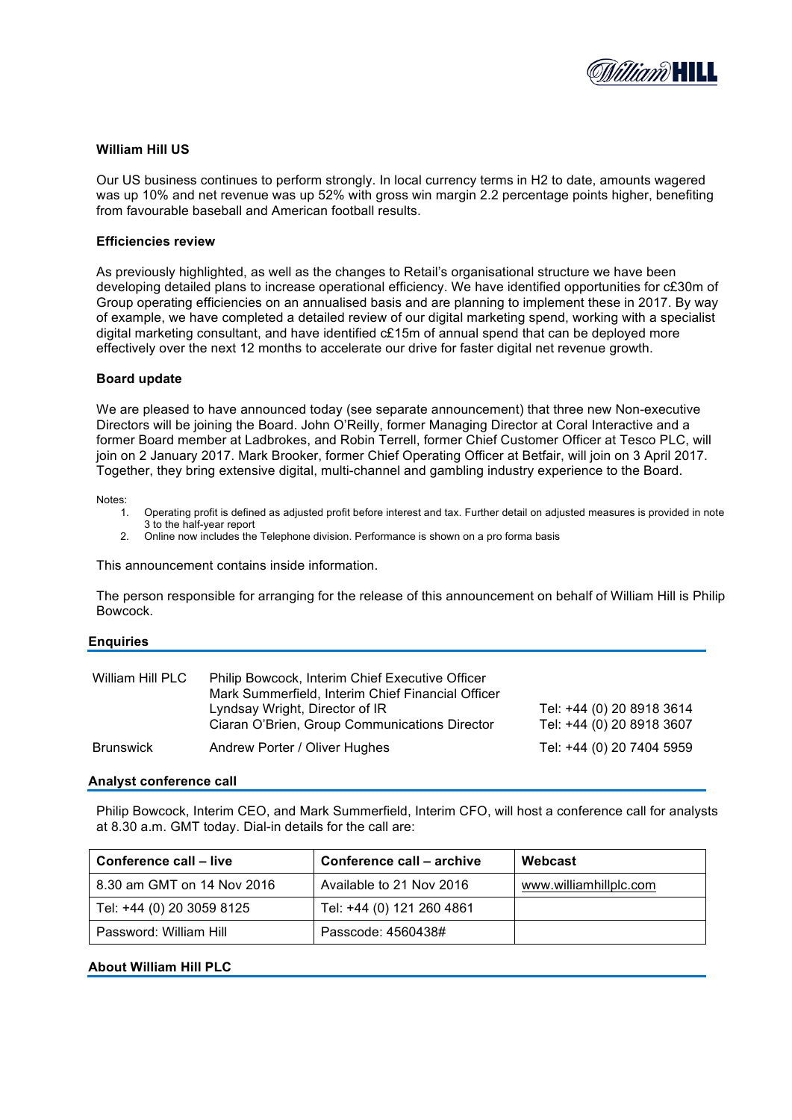

# **William Hill US**

Our US business continues to perform strongly. In local currency terms in H2 to date, amounts wagered was up 10% and net revenue was up 52% with gross win margin 2.2 percentage points higher, benefiting from favourable baseball and American football results.

#### **Efficiencies review**

As previously highlighted, as well as the changes to Retail's organisational structure we have been developing detailed plans to increase operational efficiency. We have identified opportunities for c£30m of Group operating efficiencies on an annualised basis and are planning to implement these in 2017. By way of example, we have completed a detailed review of our digital marketing spend, working with a specialist digital marketing consultant, and have identified c£15m of annual spend that can be deployed more effectively over the next 12 months to accelerate our drive for faster digital net revenue growth.

#### **Board update**

We are pleased to have announced today (see separate announcement) that three new Non-executive Directors will be joining the Board. John O'Reilly, former Managing Director at Coral Interactive and a former Board member at Ladbrokes, and Robin Terrell, former Chief Customer Officer at Tesco PLC, will join on 2 January 2017. Mark Brooker, former Chief Operating Officer at Betfair, will join on 3 April 2017. Together, they bring extensive digital, multi-channel and gambling industry experience to the Board.

Notes:

- 1. Operating profit is defined as adjusted profit before interest and tax. Further detail on adjusted measures is provided in note 3 to the half-year report
- 2. Online now includes the Telephone division. Performance is shown on a pro forma basis

This announcement contains inside information.

The person responsible for arranging for the release of this announcement on behalf of William Hill is Philip Bowcock.

#### **Enquiries**

| William Hill PLC |                                                                                 |                                                        |
|------------------|---------------------------------------------------------------------------------|--------------------------------------------------------|
|                  | Lyndsay Wright, Director of IR<br>Ciaran O'Brien, Group Communications Director | Tel: +44 (0) 20 8918 3614<br>Tel: +44 (0) 20 8918 3607 |
| <b>Brunswick</b> | Andrew Porter / Oliver Hughes                                                   | Tel: +44 (0) 20 7404 5959                              |

#### **Analyst conference call**

Philip Bowcock, Interim CEO, and Mark Summerfield, Interim CFO, will host a conference call for analysts at 8.30 a.m. GMT today. Dial-in details for the call are:

| Conference call – live     | Conference call – archive | Webcast                |
|----------------------------|---------------------------|------------------------|
| 8.30 am GMT on 14 Nov 2016 | Available to 21 Nov 2016  | www.williamhillplc.com |
| Tel: +44 (0) 20 3059 8125  | Tel: +44 (0) 121 260 4861 |                        |
| Password: William Hill     | Passcode: 4560438#        |                        |

#### **About William Hill PLC**